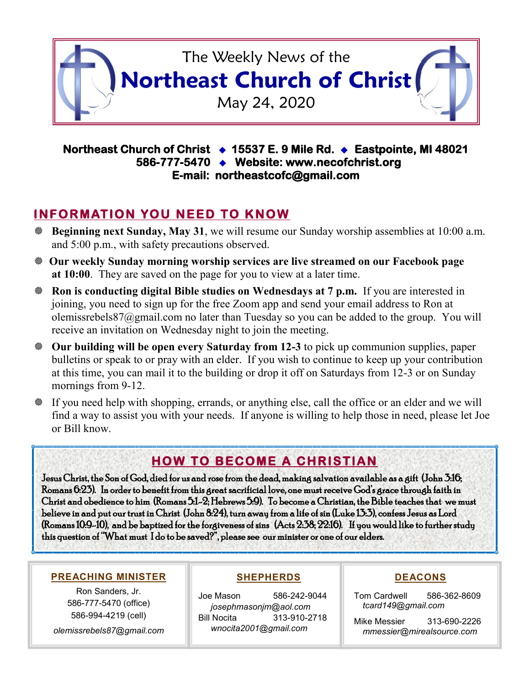

### **Northeast Church of Christ 15537 E. 9 Mile Rd. Eastpointe, MI 48021 586-777-5470 Website: www.necofchrist.org E-mail: northeastcofc@gmail.com**

## **INFORMATION YOU NEED TO KNOW**

- **Beginning next Sunday, May 31**, we will resume our Sunday worship assemblies at 10:00 a.m. and 5:00 p.m., with safety precautions observed.
- **Our weekly Sunday morning worship services are live streamed on our Facebook page at 10:00**. They are saved on the page for you to view at a later time.
- **Ron is conducting digital Bible studies on Wednesdays at 7 p.m.** If you are interested in joining, you need to sign up for the free Zoom app and send your email address to Ron at olemissrebels87@gmail.com no later than Tuesday so you can be added to the group. You will receive an invitation on Wednesday night to join the meeting.
- **Our building will be open every Saturday from 12-3** to pick up communion supplies, paper bulletins or speak to or pray with an elder. If you wish to continue to keep up your contribution at this time, you can mail it to the building or drop it off on Saturdays from 12-3 or on Sunday mornings from 9-12.
- If you need help with shopping, errands, or anything else, call the office or an elder and we will find a way to assist you with your needs. If anyone is willing to help those in need, please let Joe or Bill know.

# **HOW TO BECOME A CHRISTIAN**

Jesus Christ, the Son of God, died for us and rose from the dead, making salvation available as a gift (John 3:16; Romans 6:23). In order to benefit from this great sacrificial love, one must receive God's grace through faith in Christ and obedience to him (Romans 5:1-2; Hebrews 5:9). To become a Christian, the Bible teaches that we must believe in and put our trust in Christ (John 8:24), turn away from a life of sin (Luke 13:3), confess Jesus as Lord (Romans 10:9-10), and be baptized for the forgiveness of sins (Acts 2:38; 22:16). If you would like to further study this question of "What must I do to be saved?", please see our minister or one of our elders.

#### **PREACHING MINISTER**

Ron Sanders, Jr. 586-777-5470 (office) 586-994-4219 (cell)

*olemissrebels87@gmail.com*

#### **SHEPHERDS**

Joe Mason 586-242-9044 *josephmasonjm@aol.com* Bill Nocita 313-910-2718 *wnocita2001@gmail.com*

### **DEACONS**

Tom Cardwell 586-362-8609 *tcard149@gmail.com*

Mike Messier 313-690-2226 *mmessier@mirealsource.com*